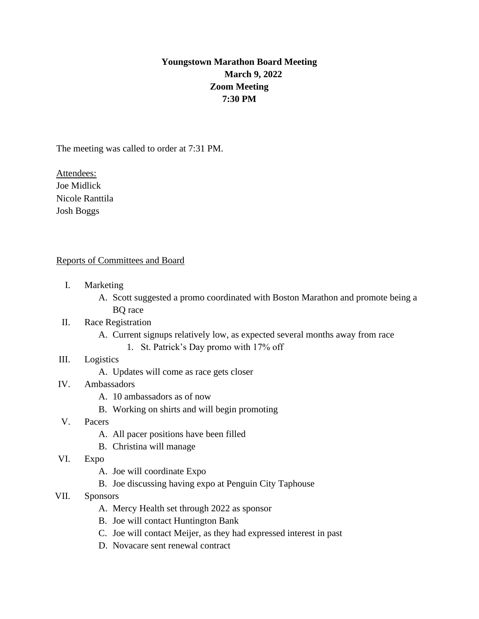## **Youngstown Marathon Board Meeting March 9, 2022 Zoom Meeting 7:30 PM**

The meeting was called to order at 7:31 PM.

Attendees: Joe Midlick Nicole Ranttila Josh Boggs

## Reports of Committees and Board

- I. Marketing
	- A. Scott suggested a promo coordinated with Boston Marathon and promote being a BQ race
- II. Race Registration
	- A. Current signups relatively low, as expected several months away from race
		- 1. St. Patrick's Day promo with 17% off
- III. Logistics
	- A. Updates will come as race gets closer
- IV. Ambassadors
	- A. 10 ambassadors as of now
	- B. Working on shirts and will begin promoting
- V. Pacers
	- A. All pacer positions have been filled
	- B. Christina will manage
- VI. Expo
	- A. Joe will coordinate Expo
	- B. Joe discussing having expo at Penguin City Taphouse
- VII. Sponsors
	- A. Mercy Health set through 2022 as sponsor
	- B. Joe will contact Huntington Bank
	- C. Joe will contact Meijer, as they had expressed interest in past
	- D. Novacare sent renewal contract